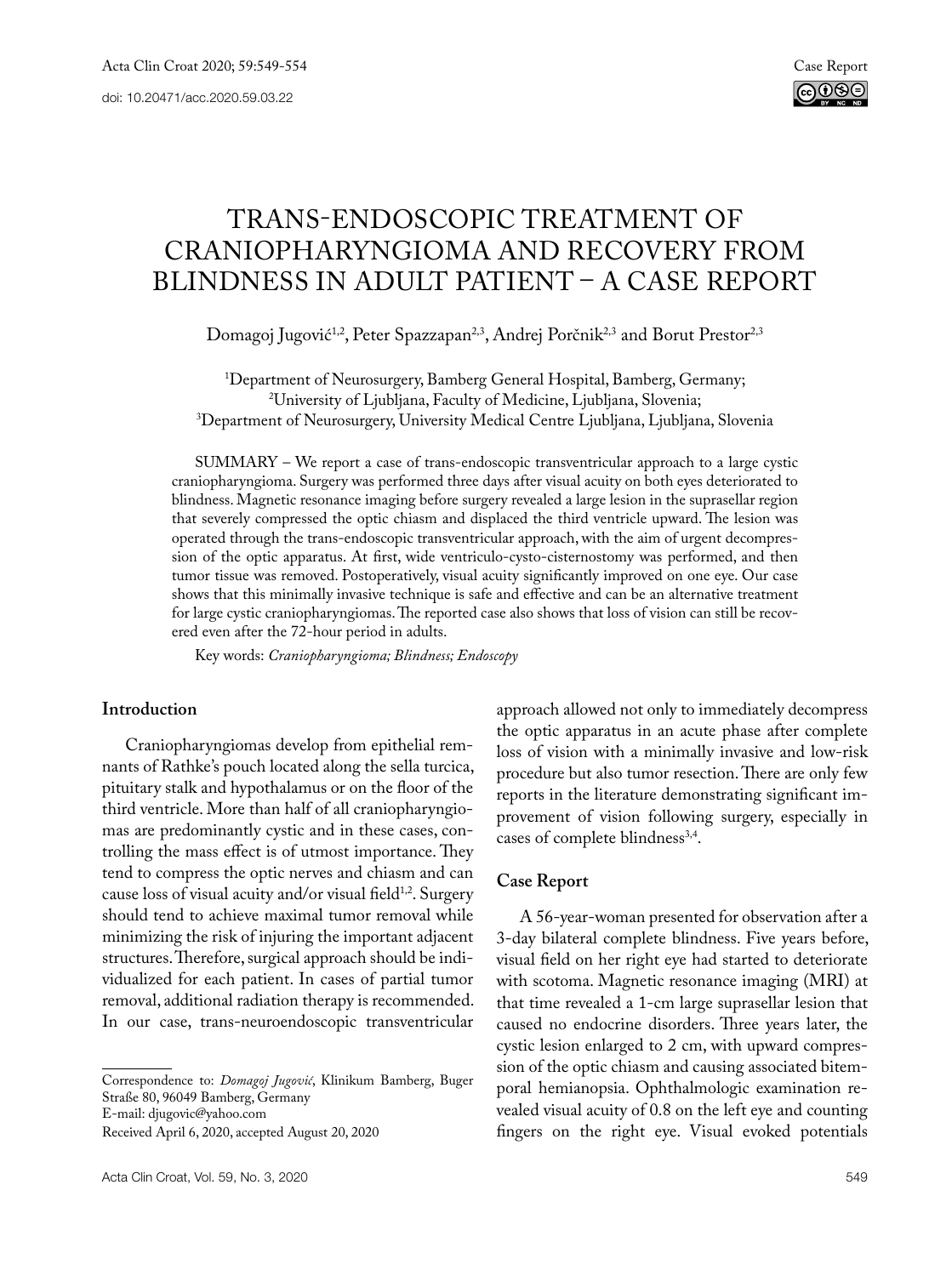# TRANS-ENDOSCOPIC TREATMENT OF CRANIOPHARYNGIOMA AND RECOVERY FROM BLINDNESS IN ADULT PATIENT – A CASE REPORT

Domagoj Jugović<sup>1,2</sup>, Peter Spazzapan<sup>2,3</sup>, Andrej Porčnik<sup>2,3</sup> and Borut Prestor<sup>2,3</sup>

1 Department of Neurosurgery, Bamberg General Hospital, Bamberg, Germany; 2 University of Ljubljana, Faculty of Medicine, Ljubljana, Slovenia; 3 Department of Neurosurgery, University Medical Centre Ljubljana, Ljubljana, Slovenia

SUMMARY – We report a case of trans-endoscopic transventricular approach to a large cystic craniopharyngioma. Surgery was performed three days after visual acuity on both eyes deteriorated to blindness. Magnetic resonance imaging before surgery revealed a large lesion in the suprasellar region that severely compressed the optic chiasm and displaced the third ventricle upward. The lesion was operated through the trans-endoscopic transventricular approach, with the aim of urgent decompression of the optic apparatus. At first, wide ventriculo-cysto-cisternostomy was performed, and then tumor tissue was removed. Postoperatively, visual acuity significantly improved on one eye. Our case shows that this minimally invasive technique is safe and effective and can be an alternative treatment for large cystic craniopharyngiomas. The reported case also shows that loss of vision can still be recovered even after the 72-hour period in adults.

Key words: *Craniopharyngioma; Blindness; Endoscopy*

## **Introduction**

Craniopharyngiomas develop from epithelial remnants of Rathke's pouch located along the sella turcica, pituitary stalk and hypothalamus or on the floor of the third ventricle. More than half of all craniopharyngiomas are predominantly cystic and in these cases, controlling the mass effect is of utmost importance. They tend to compress the optic nerves and chiasm and can cause loss of visual acuity and/or visual field<sup>1,2</sup>. Surgery should tend to achieve maximal tumor removal while minimizing the risk of injuring the important adjacent structures. Therefore, surgical approach should be individualized for each patient. In cases of partial tumor removal, additional radiation therapy is recommended. In our case, trans-neuroendoscopic transventricular

Correspondence to: *Domagoj Jugović*, Klinikum Bamberg, Buger Straße 80, 96049 Bamberg, Germany

E-mail: djugovic@yahoo.com

Received April 6, 2020, accepted August 20, 2020

approach allowed not only to immediately decompress the optic apparatus in an acute phase after complete loss of vision with a minimally invasive and low-risk procedure but also tumor resection. There are only few reports in the literature demonstrating significant improvement of vision following surgery, especially in cases of complete blindness<sup>3,4</sup>.

### **Case Report**

A 56-year-woman presented for observation after a 3-day bilateral complete blindness. Five years before, visual field on her right eye had started to deteriorate with scotoma. Magnetic resonance imaging (MRI) at that time revealed a 1-cm large suprasellar lesion that caused no endocrine disorders. Three years later, the cystic lesion enlarged to 2 cm, with upward compression of the optic chiasm and causing associated bitemporal hemianopsia. Ophthalmologic examination revealed visual acuity of 0.8 on the left eye and counting fingers on the right eye. Visual evoked potentials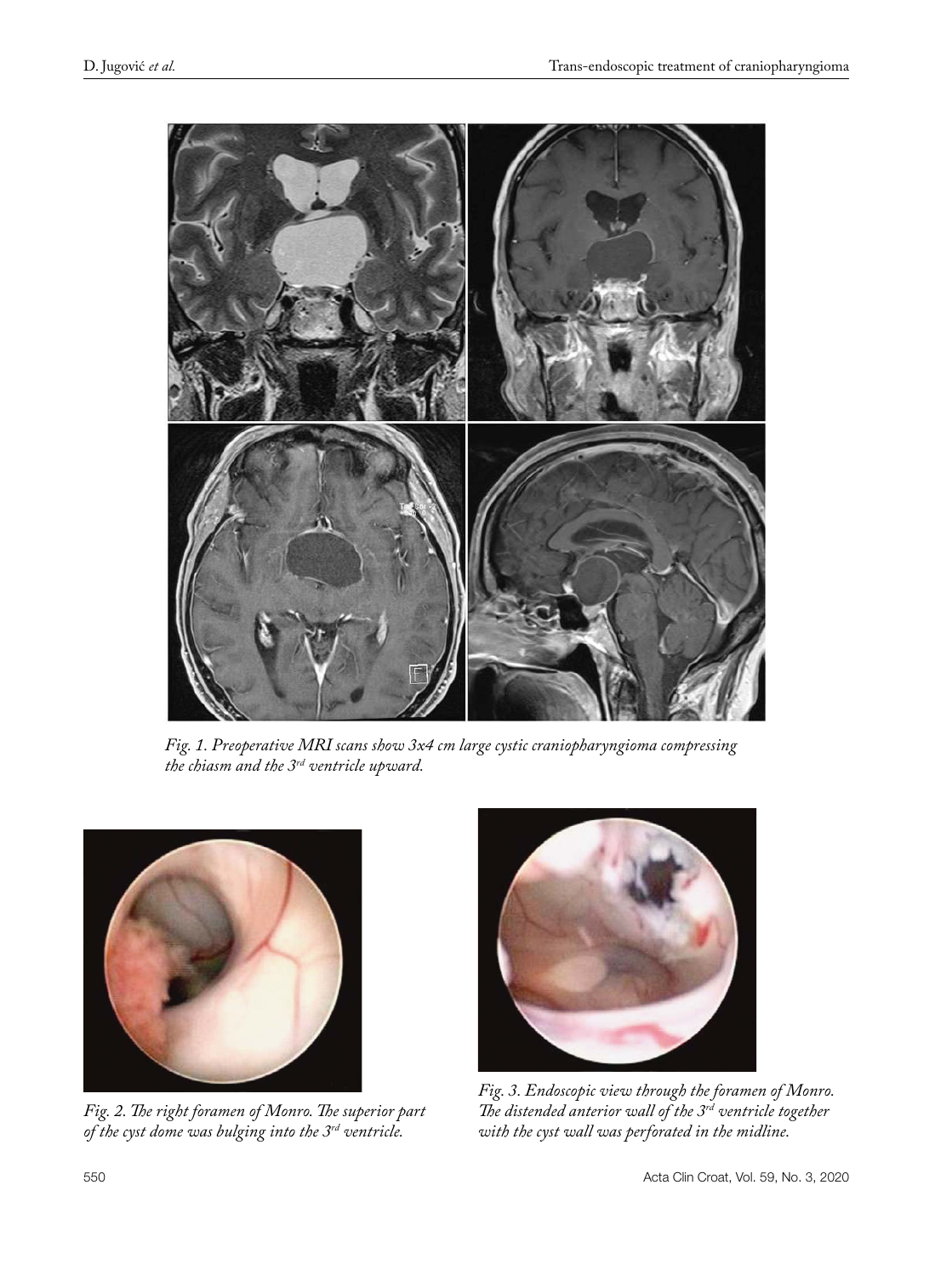

*Fig. 1. Preoperative MRI scans show 3x4 cm large cystic craniopharyngioma compressing the chiasm and the 3rd ventricle upward.*



*Fig. 2. The right foramen of Monro. The superior part of the cyst dome was bulging into the 3rd ventricle.*



*Fig. 3. Endoscopic view through the foramen of Monro. The distended anterior wall of the 3rd ventricle together with the cyst wall was perforated in the midline.*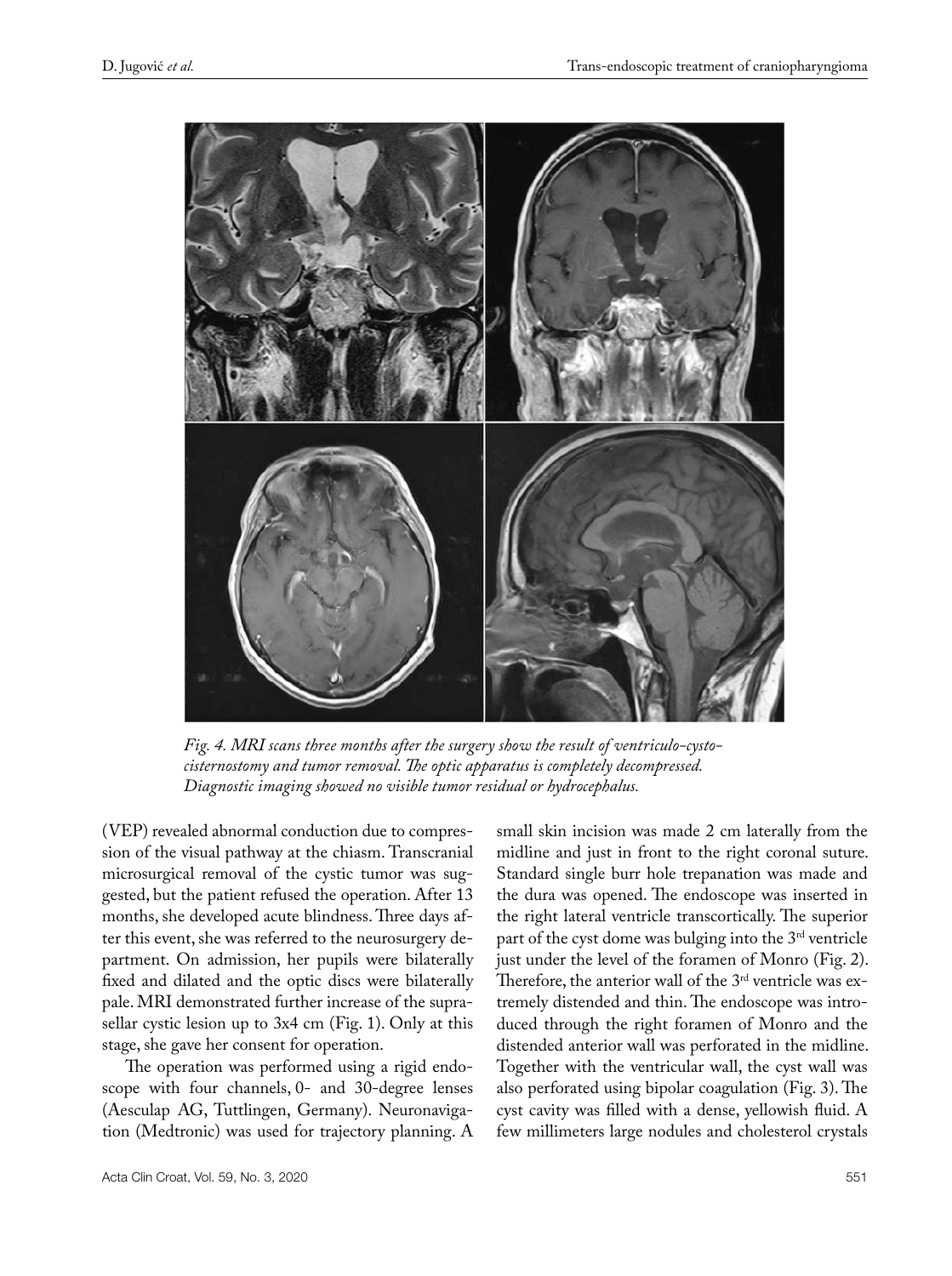

*Fig. 4. MRI scans three months after the surgery show the result of ventriculo-cystocisternostomy and tumor removal. The optic apparatus is completely decompressed. Diagnostic imaging showed no visible tumor residual or hydrocephalus.*

(VEP) revealed abnormal conduction due to compression of the visual pathway at the chiasm. Transcranial microsurgical removal of the cystic tumor was suggested, but the patient refused the operation. After 13 months, she developed acute blindness. Three days after this event, she was referred to the neurosurgery department. On admission, her pupils were bilaterally fixed and dilated and the optic discs were bilaterally pale. MRI demonstrated further increase of the suprasellar cystic lesion up to 3x4 cm (Fig. 1). Only at this stage, she gave her consent for operation.

The operation was performed using a rigid endoscope with four channels, 0- and 30-degree lenses (Aesculap AG, Tuttlingen, Germany). Neuronavigation (Medtronic) was used for trajectory planning. A

Acta Clin Croat, Vol. 59, No. 3, 2020 551

small skin incision was made 2 cm laterally from the midline and just in front to the right coronal suture. Standard single burr hole trepanation was made and the dura was opened. The endoscope was inserted in the right lateral ventricle transcortically. The superior part of the cyst dome was bulging into the 3rd ventricle just under the level of the foramen of Monro (Fig. 2). Therefore, the anterior wall of the 3<sup>rd</sup> ventricle was extremely distended and thin. The endoscope was introduced through the right foramen of Monro and the distended anterior wall was perforated in the midline. Together with the ventricular wall, the cyst wall was also perforated using bipolar coagulation (Fig. 3). The cyst cavity was filled with a dense, yellowish fluid. A few millimeters large nodules and cholesterol crystals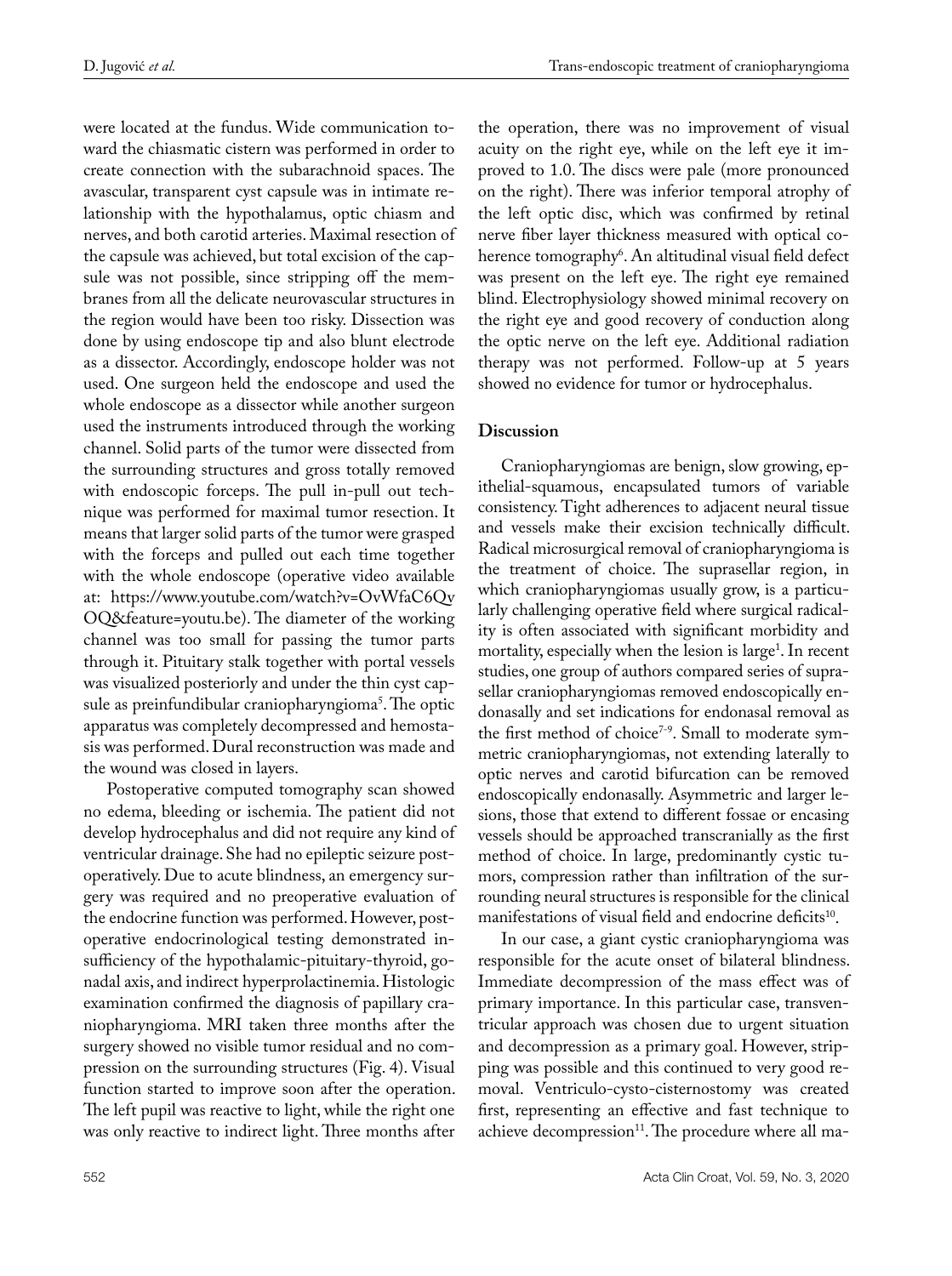were located at the fundus. Wide communication toward the chiasmatic cistern was performed in order to create connection with the subarachnoid spaces. The avascular, transparent cyst capsule was in intimate relationship with the hypothalamus, optic chiasm and nerves, and both carotid arteries. Maximal resection of the capsule was achieved, but total excision of the capsule was not possible, since stripping off the membranes from all the delicate neurovascular structures in the region would have been too risky. Dissection was done by using endoscope tip and also blunt electrode as a dissector. Accordingly, endoscope holder was not used. One surgeon held the endoscope and used the whole endoscope as a dissector while another surgeon used the instruments introduced through the working channel. Solid parts of the tumor were dissected from the surrounding structures and gross totally removed with endoscopic forceps. The pull in-pull out technique was performed for maximal tumor resection. It means that larger solid parts of the tumor were grasped with the forceps and pulled out each time together with the whole endoscope (operative video available at: [https://www.youtube.com/watch?v=OvWfaC6Qv](https://www.youtube.com/watch?v=OvWfaC6QvOQ&feature=youtu.be) [OQ&feature=youtu.be](https://www.youtube.com/watch?v=OvWfaC6QvOQ&feature=youtu.be)). The diameter of the working channel was too small for passing the tumor parts through it. Pituitary stalk together with portal vessels was visualized posteriorly and under the thin cyst capsule as preinfundibular craniopharyngioma<sup>5</sup>. The optic apparatus was completely decompressed and hemostasis was performed. Dural reconstruction was made and the wound was closed in layers.

Postoperative computed tomography scan showed no edema, bleeding or ischemia. The patient did not develop hydrocephalus and did not require any kind of ventricular drainage. She had no epileptic seizure postoperatively. Due to acute blindness, an emergency surgery was required and no preoperative evaluation of the endocrine function was performed. However, postoperative endocrinological testing demonstrated insufficiency of the hypothalamic-pituitary-thyroid, gonadal axis, and indirect hyperprolactinemia. Histologic examination confirmed the diagnosis of papillary craniopharyngioma. MRI taken three months after the surgery showed no visible tumor residual and no compression on the surrounding structures (Fig. 4). Visual function started to improve soon after the operation. The left pupil was reactive to light, while the right one was only reactive to indirect light. Three months after the operation, there was no improvement of visual acuity on the right eye, while on the left eye it improved to 1.0. The discs were pale (more pronounced on the right). There was inferior temporal atrophy of the left optic disc, which was confirmed by retinal nerve fiber layer thickness measured with optical coherence tomography<sup>6</sup>. An altitudinal visual field defect was present on the left eye. The right eye remained blind. Electrophysiology showed minimal recovery on the right eye and good recovery of conduction along the optic nerve on the left eye. Additional radiation therapy was not performed. Follow-up at 5 years showed no evidence for tumor or hydrocephalus.

# **Discussion**

Craniopharyngiomas are benign, slow growing, epithelial-squamous, encapsulated tumors of variable consistency. Tight adherences to adjacent neural tissue and vessels make their excision technically difficult. Radical microsurgical removal of craniopharyngioma is the treatment of choice. The suprasellar region, in which craniopharyngiomas usually grow, is a particularly challenging operative field where surgical radicality is often associated with significant morbidity and mortality, especially when the lesion is large<sup>1</sup>. In recent studies, one group of authors compared series of suprasellar craniopharyngiomas removed endoscopically endonasally and set indications for endonasal removal as the first method of choice<sup>7-9</sup>. Small to moderate symmetric craniopharyngiomas, not extending laterally to optic nerves and carotid bifurcation can be removed endoscopically endonasally. Asymmetric and larger lesions, those that extend to different fossae or encasing vessels should be approached transcranially as the first method of choice. In large, predominantly cystic tumors, compression rather than infiltration of the surrounding neural structures is responsible for the clinical manifestations of visual field and endocrine deficits<sup>10</sup>.

In our case, a giant cystic craniopharyngioma was responsible for the acute onset of bilateral blindness. Immediate decompression of the mass effect was of primary importance. In this particular case, transventricular approach was chosen due to urgent situation and decompression as a primary goal. However, stripping was possible and this continued to very good removal. Ventriculo-cysto-cisternostomy was created first, representing an effective and fast technique to achieve decompression<sup>11</sup>. The procedure where all ma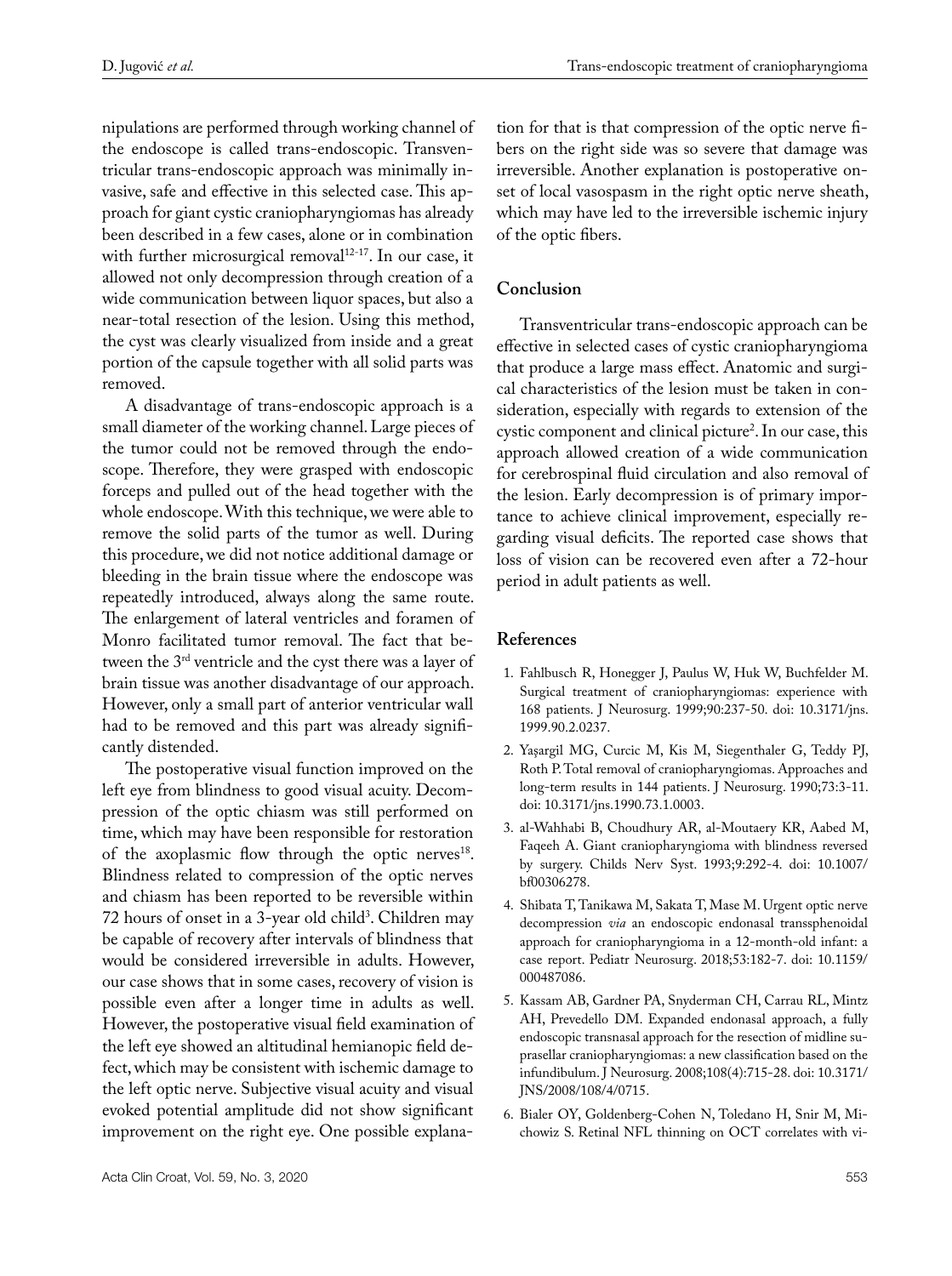nipulations are performed through working channel of the endoscope is called trans-endoscopic. Transventricular trans-endoscopic approach was minimally invasive, safe and effective in this selected case. This approach for giant cystic craniopharyngiomas has already been described in a few cases, alone or in combination with further microsurgical removal $12-17$ . In our case, it allowed not only decompression through creation of a wide communication between liquor spaces, but also a near-total resection of the lesion. Using this method, the cyst was clearly visualized from inside and a great portion of the capsule together with all solid parts was removed.

A disadvantage of trans-endoscopic approach is a small diameter of the working channel. Large pieces of the tumor could not be removed through the endoscope. Therefore, they were grasped with endoscopic forceps and pulled out of the head together with the whole endoscope. With this technique, we were able to remove the solid parts of the tumor as well. During this procedure, we did not notice additional damage or bleeding in the brain tissue where the endoscope was repeatedly introduced, always along the same route. The enlargement of lateral ventricles and foramen of Monro facilitated tumor removal. The fact that between the 3rd ventricle and the cyst there was a layer of brain tissue was another disadvantage of our approach. However, only a small part of anterior ventricular wall had to be removed and this part was already significantly distended.

The postoperative visual function improved on the left eye from blindness to good visual acuity. Decompression of the optic chiasm was still performed on time, which may have been responsible for restoration of the axoplasmic flow through the optic nerves<sup>18</sup>. Blindness related to compression of the optic nerves and chiasm has been reported to be reversible within 72 hours of onset in a 3-year old child<sup>3</sup>. Children may be capable of recovery after intervals of blindness that would be considered irreversible in adults. However, our case shows that in some cases, recovery of vision is possible even after a longer time in adults as well. However, the postoperative visual field examination of the left eye showed an altitudinal hemianopic field defect, which may be consistent with ischemic damage to the left optic nerve. Subjective visual acuity and visual evoked potential amplitude did not show significant improvement on the right eye. One possible explana-

tion for that is that compression of the optic nerve fibers on the right side was so severe that damage was irreversible. Another explanation is postoperative onset of local vasospasm in the right optic nerve sheath, which may have led to the irreversible ischemic injury of the optic fibers.

## **Conclusion**

Transventricular trans-endoscopic approach can be effective in selected cases of cystic craniopharyngioma that produce a large mass effect. Anatomic and surgical characteristics of the lesion must be taken in consideration, especially with regards to extension of the cystic component and clinical picture<sup>2</sup>. In our case, this approach allowed creation of a wide communication for cerebrospinal fluid circulation and also removal of the lesion. Early decompression is of primary importance to achieve clinical improvement, especially regarding visual deficits. The reported case shows that loss of vision can be recovered even after a 72-hour period in adult patients as well.

#### **References**

- 1. Fahlbusch R, Honegger J, Paulus W, Huk W, Buchfelder M. Surgical treatment of craniopharyngiomas: experience with 168 patients. J Neurosurg. 1999;90:237-50. doi: 10.3171/jns. 1999.90.2.0237.
- 2. Yaşargil MG, Curcic M, Kis M, Siegenthaler G, Teddy PJ, Roth P. Total removal of craniopharyngiomas. Approaches and long-term results in 144 patients. J Neurosurg. 1990;73:3-11. doi: 10.3171/jns.1990.73.1.0003.
- 3. al-Wahhabi B, Choudhury AR, al-Moutaery KR, Aabed M, Faqeeh A. Giant craniopharyngioma with blindness reversed by surgery. Childs Nerv Syst. 1993;9:292-4. doi: 10.1007/ bf00306278.
- 4. Shibata T, Tanikawa M, Sakata T, Mase M. Urgent optic nerve decompression *via* an endoscopic endonasal transsphenoidal approach for craniopharyngioma in a 12-month-old infant: a case report. [Pediatr Neurosurg.](https://www.ncbi.nlm.nih.gov/pubmed/29539631) 2018;53:182-7. doi: 10.1159/ 000487086.
- 5. Kassam AB, Gardner PA, Snyderman CH, Carrau RL, Mintz AH, Prevedello DM. Expanded endonasal approach, a fully endoscopic transnasal approach for the resection of midline suprasellar craniopharyngiomas: a new classification based on the infundibulum. J Neurosurg. 2008;108(4):715-28. doi: 10.3171/ JNS/2008/108/4/0715.
- 6. Bialer OY, Goldenberg-Cohen N, Toledano H, Snir M, Michowiz S. Retinal NFL thinning on OCT correlates with vi-